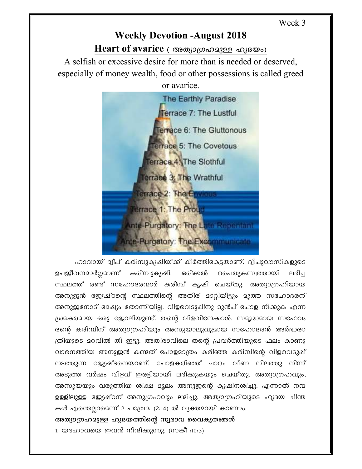## **Weekly Devotion -August 2018** Heart of avarice ( അത്യാഗ്രഹമുള്ള ഹൃദയം)

A selfish or excessive desire for more than is needed or deserved. especially of money wealth, food or other possessions is called greed or avarice.

The Earthly Paradise Terrace 7: The Lustful Terrace 6: The Gluttonous **Terrace 5: The Covetous** Terrace 4. The Slothful Terrace 3: The Wrathful Terrace 2: The Envirous Terrace 1: The Proud Ante-Purgatory: The Late Repentant inte-Purgatory: The Excommunicate

ഹാവായ് ദ്വീപ് കരിമ്പുകൃഷിയ്ക്ക് കീർത്തികേട്ടതാണ്. ദ്വീപുവാസികളുടെ ഉപജീവനമാർഗ്ഗമാണ് കരിമ്പുകൃഷി. ഒരിക്കൽ പൈതൃകസ്വത്തായി எடிு സ്ഥലത്ത് രണ്ട് സഹോദരന്മാർ കരിമ്പ് കൃഷി ചെയ്തു. അത്യാഗ്രഹിയായ അനുജൻ ജ്യേഷ്ഠന്റെ സ്ഥലത്തിന്റെ അതിര് മാറ്റിയിട്ടും മൂത്ത സഹോദരന് അനുജനോട് ദേഷ്യം തോന്നിയില്ല. വിളവെടുഷിനു മുൻപ് പോള നീക്കുക എന്ന ശ്രമകരമായ ഒരു ജോലിയുണ്ട്. തന്റെ വിളവിനേക്കാൾ. സമൃദ്ധമായ സഹോദ രന്റെ കരിമ്പിന് അത്യാഗ്രഹിയും അസൂയാലുവുമായ സഹോദരൻ അർദ്ധരാ ത്രിയുടെ മറവിൽ തീ ഇട്ടു. അതിരാവിലെ തന്റെ പ്രവർത്തിയുടെ ഫലം കാണു വാനെത്തിയ അനുജൻ കണ്ടത് പോളമാത്രം കരിഞ്ഞ കരിമ്പിന്റെ വിളവെടുപ്പ് നടത്തുന്ന ജ്യേഷ്ടനെയാണ്. പോളകരിഞ്ഞ് ചാരം വീണ നിലത്തു നിന്ന് അടുത്ത വർഷം വിളവ് ഇരട്ടിയായി ലഭിക്കുകയും ചെയ്തു. അത്യാഗ്രഹവും, അസൂയയും വരുത്തിയ ശിക്ഷ മൂലം അനുജന്റെ കൃഷിനശിച്ചു. എന്നാൽ നന്മ ഉള്ളിലുള്ള ജ്യേഷ്ഠന് അനുഗ്രഹവും ലഭിച്ചു. അത്യാഗ്രഹിയുടെ ഹൃദയ ചിന്ത കൾ എന്തെല്ലാമെന്ന് 2 പത്രോ: (2:14) ൽ വ്യക്തമായി കാണാം.

അത്യാഗ്രഹമുള്ള ഹൃദയത്തിന്റെ സ്വഭാവ വൈകൃതങ്ങൾ

1. യഹോവയെ ഇവൻ നിന്ദിക്കുന്നു. (സങ്കീ :10:3)